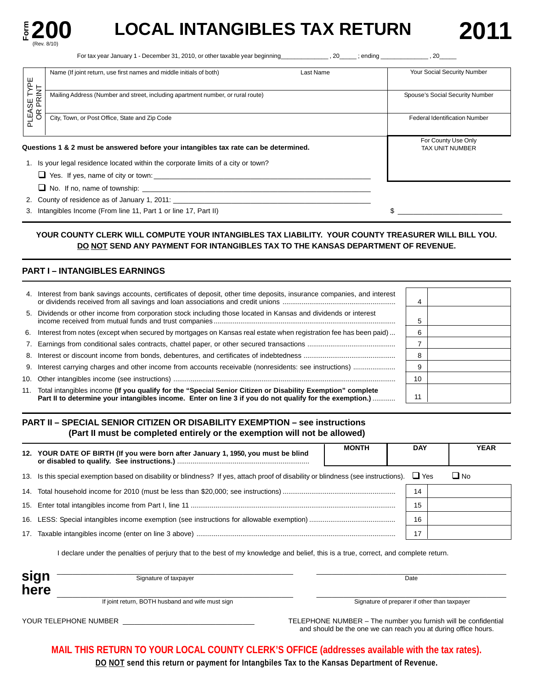

# **LOCAL INTANGIBLES TAX RETURN**

For tax year January 1 - December 31, 2010, or other taxable year beginning\_\_\_\_\_\_\_\_\_\_\_\_\_\_\_, 20\_\_\_\_\_; ending \_\_\_\_\_\_\_\_\_\_\_\_\_\_\_\_\_, 20\_

|                         | Name (If joint return, use first names and middle initials of both)                  | Last Name | Your Social Security Number                   |
|-------------------------|--------------------------------------------------------------------------------------|-----------|-----------------------------------------------|
|                         | Mailing Address (Number and street, including apartment number, or rural route)      |           | Spouse's Social Security Number               |
| PLEASE TYPE<br>OR PRINT |                                                                                      |           |                                               |
|                         | City, Town, or Post Office, State and Zip Code                                       |           | <b>Federal Identification Number</b>          |
|                         |                                                                                      |           |                                               |
|                         |                                                                                      |           |                                               |
|                         | Questions 1 & 2 must be answered before your intangibles tax rate can be determined. |           | For County Use Only<br><b>TAX UNIT NUMBER</b> |
|                         | 1. Is your legal residence located within the corporate limits of a city or town?    |           |                                               |
|                         |                                                                                      |           |                                               |
|                         |                                                                                      |           |                                               |

3. Intangibles Income (From line 11, Part 1 or line 17, Part II)  $\qquad \qquad$   $\qquad \qquad$   $\qquad \qquad$   $\qquad \qquad$ 

#### YOUR COUNTY CLERK WILL COMPUTE YOUR INTANGIBLES TAX LIABILITY. YOUR COUNTY TREASURER WILL BILL YOU. **DO NOT SEND ANY PAYMENT FOR INTANGIBLES TAX TO THE KANSAS DEPARTMENT OF REVENUE.**

### **PART I – INTANGIBLES EARNINGS**

| 4. Interest from bank savings accounts, certificates of deposit, other time deposits, insurance companies, and interest                                                                                                   | 4  |  |
|---------------------------------------------------------------------------------------------------------------------------------------------------------------------------------------------------------------------------|----|--|
| 5. Dividends or other income from corporation stock including those located in Kansas and dividends or interest                                                                                                           |    |  |
| 6. Interest from notes (except when secured by mortgages on Kansas real estate when registration fee has been paid)                                                                                                       |    |  |
|                                                                                                                                                                                                                           |    |  |
|                                                                                                                                                                                                                           | 8  |  |
| 9. Interest carrying charges and other income from accounts receivable (nonresidents: see instructions)                                                                                                                   | 9  |  |
|                                                                                                                                                                                                                           | 10 |  |
| 11. Total intangibles income (If you qualify for the "Special Senior Citizen or Disability Exemption" complete<br>Part II to determine your intangibles income. Enter on line 3 if you do not qualify for the exemption.) | 11 |  |

#### **PART II – SPECIAL SENIOR CITIZEN OR DISABILITY EXEMPTION – see instructions (Part II must be completed entirely or the exemption will not be allowed)**

| 12. YOUR DATE OF BIRTH (If you were born after January 1, 1950, you must be blind                                                   | <b>MONTH</b> | <b>DAY</b> |           | <b>YEAR</b> |
|-------------------------------------------------------------------------------------------------------------------------------------|--------------|------------|-----------|-------------|
| 13. Is this special exemption based on disability or blindness? If yes, attach proof of disability or blindness (see instructions). |              | $\Box$ Yes | $\Box$ No |             |
|                                                                                                                                     |              | 14         |           |             |
|                                                                                                                                     |              | 15         |           |             |
|                                                                                                                                     |              | 16         |           |             |
|                                                                                                                                     |              |            |           |             |
|                                                                                                                                     |              |            |           |             |

I declare under the penalties of perjury that to the best of my knowledge and belief, this is a true, correct, and complete return.

| sign | Signature of taxpayer                            | Date                                         |
|------|--------------------------------------------------|----------------------------------------------|
| here |                                                  |                                              |
|      | If joint return, BOTH husband and wife must sign | Signature of preparer if other than taxpayer |

YOUR TELEPHONE NUMBER \_\_\_\_\_\_\_\_\_\_\_\_\_\_\_\_\_\_\_\_\_\_\_\_\_\_\_\_\_\_\_\_\_\_ TELEPHONE NUMBER – The number you furnish will be confidential and should be the one we can reach you at during office hours.

**MAIL THIS RETURN TO YOUR LOCAL COUNTY CLERK'S OFFICE (addresses available with the tax rates).** 

**DO NOT send this return or payment for Intangbiles Tax to the Kansas Department of Revenue.**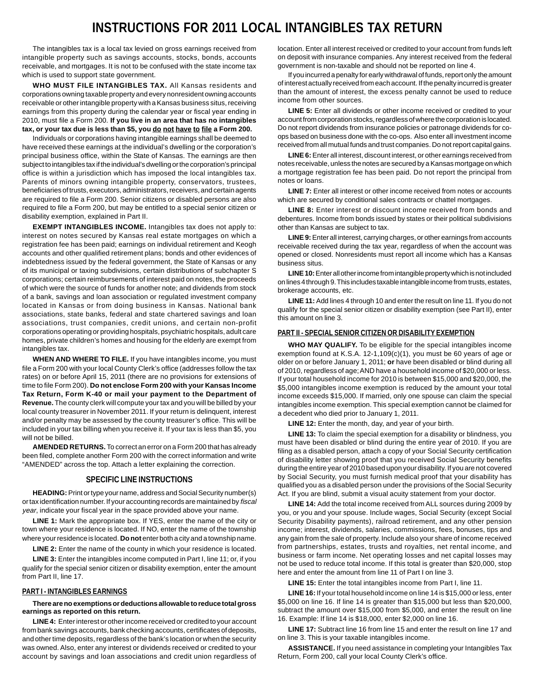## **INSTRUCTIONS FOR 2011 LOCAL INTANGIBLES TAX RETURN**

The intangibles tax is a local tax levied on gross earnings received from intangible property such as savings accounts, stocks, bonds, accounts receivable, and mortgages. It is not to be confused with the state income tax which is used to support state government.

**WHO MUST FILE INTANGIBLES TAX.** All Kansas residents and corporations owning taxable property and every nonresident owning accounts receivable or other intangible property with a Kansas business situs, receiving earnings from this property during the calendar year or fiscal year ending in 2010, must file a Form 200. **If you live in an area that has no intangibles tax, or your tax due is less than \$5, you do not have to file a Form 200.** 

Individuals or corporations having intangible earnings shall be deemed to have received these earnings at the individual's dwelling or the corporation's principal business office, within the State of Kansas. The earnings are then subject to intangibles tax if the individual's dwelling or the corporation's principal office is within a jurisdiction which has imposed the local intangibles tax. Parents of minors owning intangible property, conservators, trustees, beneficiaries of trusts, executors, administrators, receivers, and certain agents are required to file a Form 200. Senior citizens or disabled persons are also required to file a Form 200, but may be entitled to a special senior citizen or disability exemption, explained in Part II.

**EXEMPT INTANGIBLES INCOME.** Intangibles tax does not apply to: interest on notes secured by Kansas real estate mortgages on which a registration fee has been paid; earnings on individual retirement and Keogh accounts and other qualified retirement plans; bonds and other evidences of indebtedness issued by the federal government, the State of Kansas or any of its municipal or taxing subdivisions, certain distributions of subchapter S corporations; certain reimbursements of interest paid on notes, the proceeds of which were the source of funds for another note; and dividends from stock of a bank, savings and loan association or regulated investment company located in Kansas or from doing business in Kansas. National bank associations, state banks, federal and state chartered savings and loan associations, trust companies, credit unions, and certain non-profit corporations operating or providing hospitals, psychiatric hospitals, adult care homes, private children's homes and housing for the elderly are exempt from intangibles tax.

**WHEN AND WHERE TO FILE.** If you have intangibles income, you must file a Form 200 with your local County Clerk's office (addresses follow the tax rates) on or before April 15, 2011 (there are no provisions for extensions of time to file Form 200). **Do not enclose Form 200 with your Kansas Income Tax Return, Form K-40 or mail your payment to the Department of Revenue.** The county clerk will compute your tax and you will be billed by your local county treasurer in November 2011. If your return is delinquent, interest and/or penalty may be assessed by the county treasurer's office. This will be included in your tax billing when you receive it. If your tax is less than \$5, you will not be billed.

**AMENDED RETURNS.** To correct an error on a Form 200 that has already been filed, complete another Form 200 with the correct information and write "AMENDED" across the top. Attach a letter explaining the correction.

#### **SPECIFIC LINE INSTRUCTIONS**

**HEADING:** Print or type your name, address and Social Security number(s) ortax identification number. If your accounting records are maintained by fiscal year, indicate your fiscal year in the space provided above your name.

**LINE 1:** Mark the appropriate box. If YES, enter the name of the city or town where your residence is located. If NO, enter the name of the township where your residence is located. **Do not** enter both a city and a township name.

LINE 2: Enter the name of the county in which your residence is located.

**LINE 3:** Enter the intangibles income computed in Part I, line 11; or, if you qualify for the special senior citizen or disability exemption, enter the amount from Part II, line 17.

#### **PART I - INTANGIBLES EARNINGS**

#### **There are no exemptions or deductions allowable to reduce total gross earnings as reported on this return.**

**LINE 4:** Enter interest or other income received or credited to your account from bank savings accounts, bank checking accounts, certificates of deposits, and other time deposits, regardless of the bank's location or when the security was owned. Also, enter any interest or dividends received or credited to your account by savings and loan associations and credit union regardless of location. Enter all interest received or credited to your account from funds left on deposit with insurance companies. Any interest received from the federal government is non-taxable and should not be reported on line 4.

If you incurred a penalty for early withdrawal of funds, report only the amount of interest actually received from each account. If the penalty incurred is greater than the amount of interest, the excess penalty cannot be used to reduce income from other sources.

**LINE 5:** Enter all dividends or other income received or credited to your account from corporation stocks, regardless of where the corporation is located. Do not report dividends from insurance policies or patronage dividends for coops based on business done with the co-ops. Also enter all investment income received from all mutual funds and trust companies. Do not report capital gains.

**LINE 6:** Enter all interest, discount interest, or other earnings received from notes receivable, unless the notes are secured by a Kansas mortgage on which a mortgage registration fee has been paid. Do not report the principal from notes or loans.

**LINE 7:** Enter all interest or other income received from notes or accounts which are secured by conditional sales contracts or chattel mortgages.

LINE 8: Enter interest or discount income received from bonds and debentures. Income from bonds issued by states or their political subdivisions other than Kansas are subject to tax.

**LINE 9:** Enter all interest, carrying charges, or other earnings from accounts receivable received during the tax year, regardless of when the account was opened or closed. Nonresidents must report all income which has a Kansas business situs.

**LINE 10:**Enter all other income from intangible property which is not included on lines 4 through 9. This includes taxable intangible income from trusts, estates, brokerage accounts, etc.

**LINE 11:** Add lines 4 through 10 and enter the result on line 11. If you do not qualify for the special senior citizen or disability exemption (see Part II), enter this amount on line 3.

#### **PART II - SPECIAL SENIOR CITIZEN OR DISABILITY EXEMPTION**

**WHO MAY QUALIFY.** To be eligible for the special intangibles income exemption found at K.S.A. 12-1,109(c)(1), you must be 60 years of age or older on or before January 1, 2011; **or** have been disabled or blind during all of 2010, regardless of age; AND have a household income of \$20,000 or less. If your total household income for 2010 is between \$15,000 and \$20,000, the \$5,000 intangibles income exemption is reduced by the amount your total income exceeds \$15,000. If married, only one spouse can claim the special intangibles income exemption. This special exemption cannot be claimed for a decedent who died prior to January 1, 2011.

**LINE 12:** Enter the month, day, and year of your birth.

**LINE 13:** To claim the special exemption for a disability or blindness, you must have been disabled or blind during the entire year of 2010. If you are filing as a disabled person, attach a copy of your Social Security certification of disability letter showing proof that you received Social Security benefits during the entire year of 2010 based upon your disability. If you are not covered by Social Security, you must furnish medical proof that your disability has qualified you as a disabled person under the provisions of the Social Security Act. If you are blind, submit a visual acuity statement from your doctor.

**LINE 14:** Add the total income received from ALL sources during 2009 by you, or you and your spouse. Include wages, Social Security (except Social Security Disability payments), railroad retirement, and any other pension income; interest, dividends, salaries, commissions, fees, bonuses, tips and any gain from the sale of property. Include also your share of income received from partnerships, estates, trusts and royalties, net rental income, and business or farm income. Net operating losses and net capital losses may not be used to reduce total income. If this total is greater than \$20,000, stop here and enter the amount from line 11 of Part I on line 3.

**LINE 15:** Enter the total intangibles income from Part I, line 11.

**LINE 16:** If your total household income on line 14 is \$15,000 or less, enter \$5,000 on line 16. If line 14 is greater than \$15,000 but less than \$20,000, subtract the amount over \$15,000 from \$5,000, and enter the result on line 16. Example: If line 14 is \$18,000, enter \$2,000 on line 16.

**LINE 17:** Subtract line 16 from line 15 and enter the result on line 17 and on line 3. This is your taxable intangibles income.

**ASSISTANCE.** If you need assistance in completing your Intangibles Tax Return, Form 200, call your local County Clerk's office.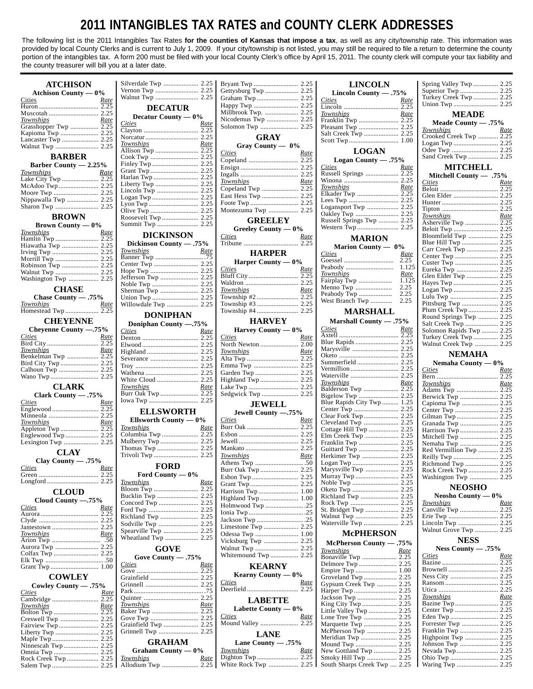## **2011 INTANGIBLES TAX RATES and COUNTY CLERK ADDRESSES**

The following list is the 2011 Intangibles Tax Rates **for the counties of Kansas that impose a tax**, as well as any city/township rate. This information was provided by local County Clerks and is current to July 1, 2009. If your city/township is not listed, you may still be required to file a return to determine the county portion of the intangibles tax. A form 200 must be filed with your local County Clerk's office by April 15, 2011. The county clerk will compute your tax liability and the county treasurer will bill you at a later date.

| <b>ATCHISON</b>                                     |                                          |             |                                       |             | <b>LINCOLN</b>                                |             | Spring Valley Twp  2.25           |             |
|-----------------------------------------------------|------------------------------------------|-------------|---------------------------------------|-------------|-----------------------------------------------|-------------|-----------------------------------|-------------|
| Atchison County $-0\%$                              |                                          |             | Gettysburg Twp  2.25                  |             | Lincoln County $-.75%$                        |             |                                   |             |
| Rate<br>Cities                                      |                                          |             |                                       |             | Cities                                        | Rate        | Turkey Creek Twp  2.25            |             |
| 2.25                                                | <b>DECATUR</b>                           |             |                                       |             |                                               |             |                                   |             |
|                                                     | Decatur County $-0\%$                    |             |                                       |             | Townships                                     | Rate        | <b>MEADE</b>                      |             |
| Townships<br>Rate                                   | Cities                                   | Rate        |                                       |             | Franklin Twp  2.25<br>Pleasant Twp  2.25      |             | Meade County - .75%               |             |
| Kapioma Twp  2.25                                   |                                          |             |                                       |             |                                               |             | Townships                         | Rate        |
|                                                     |                                          |             | <b>GRAY</b>                           |             |                                               |             | Crooked Creek Twp  2.25           |             |
|                                                     | Townships<br>Allison Twp  2.25           | Rate        | Gray County $- 0\%$                   |             |                                               |             |                                   |             |
| <b>BARBER</b>                                       |                                          |             | <b>Cities</b>                         | Rate        | <b>LOGAN</b>                                  |             | Sand Creek Twp  2.25              |             |
| Barber County - 2.25%                               |                                          |             |                                       |             | Logan County $-.75%$<br>Cities                |             | <b>MITCHELL</b>                   |             |
| Townships<br>Rate                                   |                                          |             |                                       |             |                                               | Rate        |                                   |             |
|                                                     | Harlan Twp  2.25                         |             | Townships                             | Rate        |                                               |             | Mitchell County - .75%<br>Cities  | Rate        |
|                                                     |                                          |             |                                       |             | Townships                                     | Rate        |                                   |             |
|                                                     |                                          |             |                                       |             | Elkader Twp  2.25                             |             |                                   |             |
| Nippawalla Twp  2.25                                |                                          |             |                                       |             |                                               |             |                                   |             |
|                                                     |                                          |             | Montezuma Twp  2.25                   |             |                                               |             |                                   |             |
| <b>BROWN</b>                                        |                                          |             | <b>GREELEY</b>                        |             | Russell Springs Twp  2.25                     |             | Townships<br>Asherville Twp  2.25 | Rate        |
| <b>Brown County — <math>0\%</math></b>              |                                          |             | Greeley County $-0\%$                 |             |                                               |             |                                   |             |
| Townships<br>Rate                                   | <b>DICKINSON</b>                         |             | <b>Cities</b>                         | Rate        | <b>MARION</b>                                 |             |                                   |             |
| Hiawatha Twp  2.25                                  | Dickinson County - .75%                  |             |                                       |             | Marion County — 0%                            |             |                                   |             |
|                                                     | Townships                                |             | <b>HARPER</b>                         |             | <b>Cities</b>                                 | Rate        | Carr Creek Twp  2.25              |             |
|                                                     |                                          |             | Harper County $-0\%$                  |             |                                               | 2.25        |                                   |             |
|                                                     |                                          |             | Cities                                | Rate        |                                               |             |                                   |             |
|                                                     |                                          |             |                                       |             | Townships                                     | <u>Rate</u> | Glen Elder Twp  2.25              |             |
| Washington Twp  2.25                                |                                          |             |                                       |             | Fairplay Twp                                  | 1.125       |                                   |             |
| <b>CHASE</b>                                        |                                          |             | Townships                             | Rate        | Menno Twp                                     | 2.25        |                                   |             |
| Chase County - .75%                                 |                                          |             |                                       |             | Peabody Twp                                   | 2.25        | Lulu Twp  2.25                    |             |
| Townships<br>Rate                                   |                                          |             |                                       |             |                                               |             |                                   |             |
|                                                     | <b>DONIPHAN</b>                          |             |                                       |             | <b>MARSHALL</b>                               |             | Round Springs Twp  2.25           |             |
| <b>CHEYENNE</b>                                     | Doniphan County -.75%                    |             | <b>HARVEY</b>                         |             | Marshall County - .75%                        |             |                                   |             |
| Chevenne County -.75%                               | Cities                                   | Rate        | Harvey County $-0\%$                  |             | <b>Cities</b>                                 | Rate        | Solomon Rapids Twp  2.25          |             |
| <b>Cities</b><br>Rate                               |                                          |             | Cities                                | <u>Rate</u> |                                               |             | Turkey Creek Twp  2.25            |             |
|                                                     |                                          |             | North Newton                          | 2.00        | Marysville  2.25                              |             | Walnut Creek Twp  2.25            |             |
| Townships<br>Rate<br>Benkelman Twp  2.25            |                                          |             | <b>Townships</b>                      | Rate        |                                               |             | <b>NEMAHA</b>                     |             |
|                                                     |                                          |             |                                       |             |                                               |             | Nemaha County $-0\%$              |             |
|                                                     |                                          |             |                                       |             |                                               |             | Cities                            | <u>Rate</u> |
|                                                     |                                          |             | Highland Twp  2.25                    |             |                                               |             |                                   |             |
| <b>CLARK</b>                                        | Townships                                | Rate        |                                       |             | Townships                                     | Rate        | Townships                         | Rate        |
| Clark County - .75%                                 |                                          |             |                                       |             | Balderson Twp  2.25<br>Bigelow Twp  2.25      |             | Adams Twp  2.25                   |             |
| <i>Cities</i><br><u>Rate</u>                        |                                          |             | <b>JEWELL</b>                         |             | Blue Rapids City Twp  1.25                    |             |                                   |             |
|                                                     | <b>ELLSWORTH</b>                         |             |                                       |             |                                               |             | Center Twp  2.25                  |             |
|                                                     | Ellsworth County — 0%                    |             | Jewell County -. 75%<br><b>Cities</b> | <u>Rate</u> |                                               |             |                                   |             |
| Townships<br>Rate                                   | Townships                                | Rate        |                                       |             | Cleveland Twp  2.25                           |             |                                   |             |
|                                                     |                                          |             |                                       |             | Cottage Hill Twp  2.25<br>Elm Creek Twp  2.25 |             |                                   |             |
|                                                     |                                          |             |                                       |             | Franklin Twp  2.25                            |             |                                   |             |
| <b>CLAY</b>                                         |                                          |             |                                       |             | Guittard Twp  2.25                            |             | Red Vermillion Twp  2.25          |             |
|                                                     |                                          |             | Townships                             | Rate        |                                               |             |                                   |             |
| Clay County $-.75%$<br><b>Cities</b>                | <b>FORD</b>                              |             |                                       |             |                                               |             |                                   |             |
| <u>Kate</u>                                         | Ford County $-0\%$                       |             | Burr Oak Twp  2.25                    |             |                                               |             |                                   |             |
|                                                     | Townships                                | Rate        |                                       |             | Noble Twp  2.25                               |             | Washington Twp  2.25              |             |
| <b>CLOUD</b>                                        |                                          |             | Harrison Twp  1.00                    |             |                                               |             | <b>NEOSHO</b>                     |             |
|                                                     | Bucklin Twp  2.25                        |             |                                       |             | Richland Twp  2.25                            |             | Neosho County $-0\%$              |             |
| Cloud County -. 75%<br><i>Cities</i><br><u>Rate</u> |                                          |             | Holmwood Twp 25                       |             |                                               |             | Townships                         | <u>Rate</u> |
|                                                     |                                          |             |                                       |             |                                               |             | Canville Twp  2.25                |             |
|                                                     | Richland Twp  2.25<br>Sodville Twp  2.25 |             |                                       |             |                                               |             |                                   |             |
|                                                     | Spearville Twp  2.25                     |             |                                       |             |                                               |             | Walnut Grove Twp  2.25            |             |
| Townships<br><u>Rate</u>                            |                                          |             |                                       |             | <b>McPHERSON</b>                              |             |                                   |             |
| Aurora Twp  2.25                                    |                                          |             | Vicksburg Twp  2.25                   |             | McPherson County - .75%                       |             | <b>NESS</b>                       |             |
|                                                     | <b>GOVE</b>                              |             | Whitemound Twp 2.25                   |             | Townships                                     | Rate        | Ness County $-.75%$<br>Cities     |             |
|                                                     | Gove County $-.75%$                      |             |                                       |             | Bonaville Twp  2.25                           |             |                                   | Rate        |
|                                                     | Cities                                   | Rate        | <b>KEARNY</b>                         |             | Empire Twp  1.00                              |             |                                   |             |
| <b>COWLEY</b>                                       |                                          |             | Kearny County $-0\%$                  |             | Groveland Twp  2.25                           |             |                                   |             |
| Cowley County - .75%                                |                                          |             | Cities                                | Rate        | Gypsum Creek Twp  2.25                        |             |                                   |             |
| <i>Cities</i><br>Rate                               |                                          |             |                                       |             |                                               |             |                                   |             |
|                                                     |                                          |             | <b>LABETTE</b>                        |             | Jackson Twp  2.25                             |             | Townships<br>Bazine Twp  2.25     | Rate        |
| <b>Townships</b><br>Rate                            | <i>Townships</i>                         | Rate        | Labette County $-0\%$                 |             | Little Valley Twp  2.25                       |             |                                   |             |
|                                                     |                                          |             | Cities                                | <u>Rate</u> |                                               |             |                                   |             |
|                                                     | Grainfield Twp  2.25                     |             |                                       |             | Marquette Twp  2.25                           |             |                                   |             |
|                                                     | Grinnell Twp  2.25                       |             | <b>LANE</b>                           |             | McPherson Twp  2.25                           |             |                                   |             |
|                                                     | <b>GRAHAM</b>                            |             | Lane County $-.75%$                   |             |                                               |             | Highpoint Twp  2.25               |             |
|                                                     | Graham County $-0\%$                     |             | <b>Townships</b>                      | <u>Rate</u> | New Gottland Twp  2.25                        |             |                                   |             |
|                                                     | <b>Townships</b>                         | <u>Rate</u> |                                       |             | Smoky Hill Twp  2.25                          |             |                                   |             |
|                                                     |                                          |             |                                       |             | South Sharps Creek Twp  2.25                  |             |                                   |             |
|                                                     |                                          |             |                                       |             |                                               |             |                                   |             |